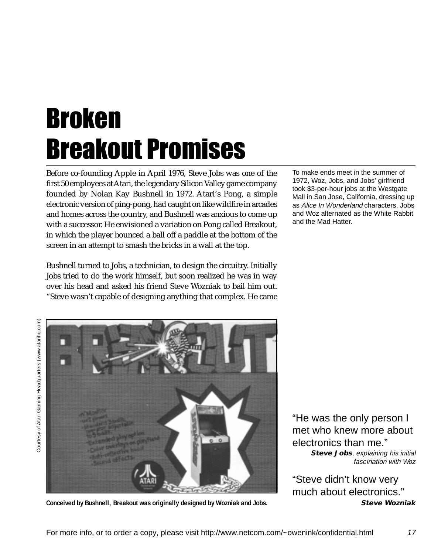## Broken Breakout Promises

Before co-founding Apple in April 1976, Steve Jobs was one of the first 50 employees at Atari, the legendary Silicon Valley game company founded by Nolan Kay Bushnell in 1972. Atari's Pong, a simple electronic version of ping-pong, had caught on like wildfire in arcades and homes across the country, and Bushnell was anxious to come up with a successor. He envisioned a variation on Pong called Breakout, in which the player bounced a ball off a paddle at the bottom of the screen in an attempt to smash the bricks in a wall at the top.

Bushnell turned to Jobs, a technician, to design the circuitry. Initially Jobs tried to do the work himself, but soon realized he was in way over his head and asked his friend Steve Wozniak to bail him out. "Steve wasn't capable of designing anything that complex. He came

Courtesy of Atari Gaming Headquarters (www.atarihq.com) Courtesy of Atari Gaming Headquarters (www.atarihq.com)



**Conceived by Bushnell, Breakout was originally designed by Wozniak and Jobs.**

To make ends meet in the summer of 1972, Woz, Jobs, and Jobs' girlfriend took \$3-per-hour jobs at the Westgate Mall in San Jose, California, dressing up as Alice In Wonderland characters. Jobs and Woz alternated as the White Rabbit and the Mad Hatter.

"He was the only person I met who knew more about electronics than me." **Steve Jobs**, explaining his initial fascination with Woz

"Steve didn't know very much about electronics." **Steve Wozniak**